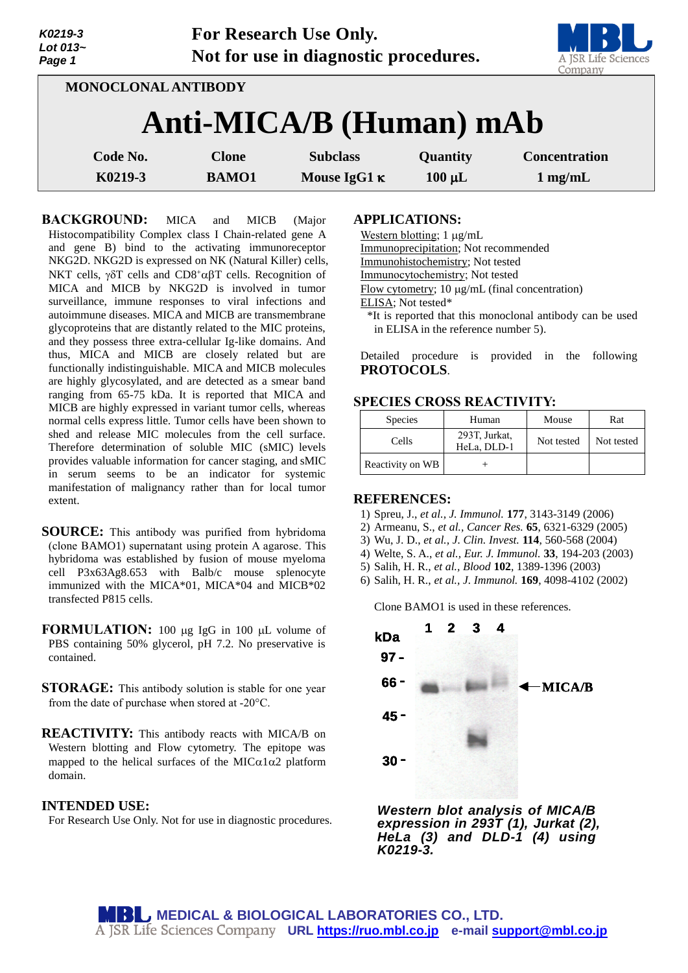|                            | <b>NUZ19-3</b><br>Lot 013~<br>Page 1 |                                | FOR RESEARCH USE UHIV.<br>Not for use in diagnostic procedures. |             | A JSR Life Sciences<br>Company |  |  |
|----------------------------|--------------------------------------|--------------------------------|-----------------------------------------------------------------|-------------|--------------------------------|--|--|
| <b>MONOCLONAL ANTIBODY</b> |                                      |                                |                                                                 |             |                                |  |  |
|                            |                                      | <b>Anti-MICA/B (Human) mAb</b> |                                                                 |             |                                |  |  |
|                            | Code No.                             | <b>Clone</b>                   | <b>Subclass</b>                                                 | Quantity    | <b>Concentration</b>           |  |  |
|                            | K0219-3                              | <b>BAMO1</b>                   | Mouse IgG1 $\kappa$                                             | $100 \mu L$ | $1 \text{ mg/mL}$              |  |  |

 $\mathbf{F}$  **For Research Use Only.** 

**BACKGROUND:** MICA and MICB (Major Histocompatibility Complex class I Chain-related gene A and gene B) bind to the activating immunoreceptor NKG2D. NKG2D is expressed on NK (Natural Killer) cells, NKT cells,  $\gamma \delta T$  cells and CD8<sup>+</sup> $\alpha \beta T$  cells. Recognition of MICA and MICB by NKG2D is involved in tumor surveillance, immune responses to viral infections and autoimmune diseases. MICA and MICB are transmembrane glycoproteins that are distantly related to the MIC proteins, and they possess three extra-cellular Ig-like domains. And thus, MICA and MICB are closely related but are functionally indistinguishable. MICA and MICB molecules are highly glycosylated, and are detected as a smear band ranging from 65-75 kDa. It is reported that MICA and MICB are highly expressed in variant tumor cells, whereas normal cells express little. Tumor cells have been shown to shed and release MIC molecules from the cell surface. Therefore determination of soluble MIC (sMIC) levels provides valuable information for cancer staging, and sMIC in serum seems to be an indicator for systemic manifestation of malignancy rather than for local tumor extent.

**SOURCE:** This antibody was purified from hybridoma (clone BAMO1) supernatant using protein A agarose. This hybridoma was established by fusion of mouse myeloma cell P3x63Ag8.653 with Balb/c mouse splenocyte immunized with the MICA\*01, MICA\*04 and MICB\*02 transfected P815 cells.

**FORMULATION:** 100 µg IgG in 100 µL volume of PBS containing 50% glycerol, pH 7.2. No preservative is contained.

- **STORAGE:** This antibody solution is stable for one year from the date of purchase when stored at -20°C.
- **REACTIVITY:** This antibody reacts with MICA/B on Western blotting and Flow cytometry. The epitope was mapped to the helical surfaces of the MIC $\alpha$ 1 $\alpha$ 2 platform domain.

### **INTENDED USE:**

*K0219-3*

For Research Use Only. Not for use in diagnostic procedures.

#### **APPLICATIONS:**

Western blotting;  $1 \mu g/mL$ 

Immunoprecipitation; Not recommended

Immunohistochemistry; Not tested

Immunocytochemistry; Not tested

Flow cytometry;  $10 \mu g/mL$  (final concentration)

ELISA; Not tested\*

\*It is reported that this monoclonal antibody can be used in ELISA in the reference number 5).

**The Common Street** 

Detailed procedure is provided in the following **PROTOCOLS**.

## **SPECIES CROSS REACTIVITY:**

| <b>Species</b>   | Human                        | Mouse      | Rat        |
|------------------|------------------------------|------------|------------|
| Cells            | 293T, Jurkat,<br>HeLa, DLD-1 | Not tested | Not tested |
| Reactivity on WB |                              |            |            |

#### **REFERENCES:**

- 1) Spreu, J., *et al., J. Immunol.* **177**, 3143-3149 (2006)
- 2) Armeanu, S., *et al., Cancer Res.* **65**, 6321-6329 (2005)
- 3) Wu, J. D., *et al., J. Clin. Invest.* **114**, 560-568 (2004)
- 4) Welte, S. A., *et al., Eur. J. Immunol.* **33**, 194-203 (2003)
- 5) Salih, H. R., *et al., Blood* **102**, 1389-1396 (2003)
- 6) Salih, H. R., *et al., J. Immunol.* **169**, 4098-4102 (2002)

Clone BAMO1 is used in these references.



*Western blot analysis of MICA/B expression in 293T (1), Jurkat (2), HeLa (3) and DLD-1 (4) using K0219-3.*